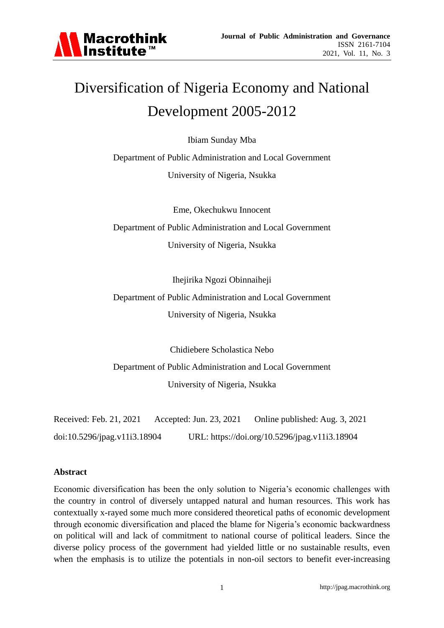

# Diversification of Nigeria Economy and National Development 2005-2012

Ibiam Sunday Mba

Department of Public Administration and Local Government University of Nigeria, Nsukka

Eme, Okechukwu Innocent Department of Public Administration and Local Government University of Nigeria, Nsukka

Ihejirika Ngozi Obinnaiheji

Department of Public Administration and Local Government University of Nigeria, Nsukka

Chidiebere Scholastica Nebo Department of Public Administration and Local Government University of Nigeria, Nsukka

Received: Feb. 21, 2021 Accepted: Jun. 23, 2021 Online published: Aug. 3, 2021 doi:10.5296/jpag.v11i3.18904 URL: https://doi.org/10.5296/jpag.v11i3.18904

#### **Abstract**

Economic diversification has been the only solution to Nigeria's economic challenges with the country in control of diversely untapped natural and human resources. This work has contextually x-rayed some much more considered theoretical paths of economic development through economic diversification and placed the blame for Nigeria's economic backwardness on political will and lack of commitment to national course of political leaders. Since the diverse policy process of the government had yielded little or no sustainable results, even when the emphasis is to utilize the potentials in non-oil sectors to benefit ever-increasing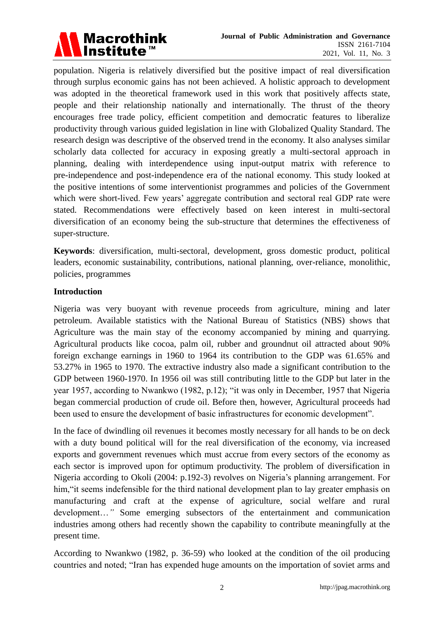

population. Nigeria is relatively diversified but the positive impact of real diversification through surplus economic gains has not been achieved. A holistic approach to development was adopted in the theoretical framework used in this work that positively affects state, people and their relationship nationally and internationally. The thrust of the theory encourages free trade policy, efficient competition and democratic features to liberalize productivity through various guided legislation in line with Globalized Quality Standard. The research design was descriptive of the observed trend in the economy. It also analyses similar scholarly data collected for accuracy in exposing greatly a multi-sectoral approach in planning, dealing with interdependence using input-output matrix with reference to pre-independence and post-independence era of the national economy. This study looked at the positive intentions of some interventionist programmes and policies of the Government which were short-lived. Few years' aggregate contribution and sectoral real GDP rate were stated. Recommendations were effectively based on keen interest in multi-sectoral diversification of an economy being the sub-structure that determines the effectiveness of super-structure.

**Keywords**: diversification, multi-sectoral, development, gross domestic product, political leaders, economic sustainability, contributions, national planning, over-reliance, monolithic, policies, programmes

## **Introduction**

Nigeria was very buoyant with revenue proceeds from agriculture, mining and later petroleum. Available statistics with the National Bureau of Statistics (NBS) shows that Agriculture was the main stay of the economy accompanied by mining and quarrying. Agricultural products like cocoa, palm oil, rubber and groundnut oil attracted about 90% foreign exchange earnings in 1960 to 1964 its contribution to the GDP was 61.65% and 53.27% in 1965 to 1970. The extractive industry also made a significant contribution to the GDP between 1960-1970. In 1956 oil was still contributing little to the GDP but later in the year 1957, according to Nwankwo (1982, p.12); "it was only in December, 1957 that Nigeria began commercial production of crude oil. Before then, however, Agricultural proceeds had been used to ensure the development of basic infrastructures for economic development".

In the face of dwindling oil revenues it becomes mostly necessary for all hands to be on deck with a duty bound political will for the real diversification of the economy, via increased exports and government revenues which must accrue from every sectors of the economy as each sector is improved upon for optimum productivity. The problem of diversification in Nigeria according to Okoli (2004: p.192-3) revolves on Nigeria's planning arrangement. For him, "it seems indefensible for the third national development plan to lay greater emphasis on manufacturing and craft at the expense of agriculture, social welfare and rural development…*"* Some emerging subsectors of the entertainment and communication industries among others had recently shown the capability to contribute meaningfully at the present time.

According to Nwankwo (1982, p. 36-59) who looked at the condition of the oil producing countries and noted; "Iran has expended huge amounts on the importation of soviet arms and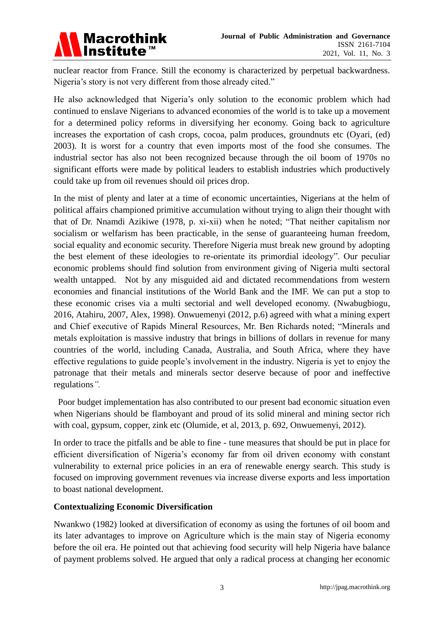

nuclear reactor from France. Still the economy is characterized by perpetual backwardness. Nigeria's story is not very different from those already cited."

He also acknowledged that Nigeria's only solution to the economic problem which had continued to enslave Nigerians to advanced economies of the world is to take up a movement for a determined policy reforms in diversifying her economy. Going back to agriculture increases the exportation of cash crops, cocoa, palm produces, groundnuts etc (Oyari, (ed) 2003). It is worst for a country that even imports most of the food she consumes. The industrial sector has also not been recognized because through the oil boom of 1970s no significant efforts were made by political leaders to establish industries which productively could take up from oil revenues should oil prices drop.

In the mist of plenty and later at a time of economic uncertainties, Nigerians at the helm of political affairs championed primitive accumulation without trying to align their thought with that of Dr. Nnamdi Azikiwe (1978, p. xi-xii) when he noted; "That neither capitalism nor socialism or welfarism has been practicable, in the sense of guaranteeing human freedom, social equality and economic security. Therefore Nigeria must break new ground by adopting the best element of these ideologies to re-orientate its primordial ideology". Our peculiar economic problems should find solution from environment giving of Nigeria multi sectoral wealth untapped. Not by any misguided aid and dictated recommendations from western economies and financial institutions of the World Bank and the IMF. We can put a stop to these economic crises via a multi sectorial and well developed economy. (Nwabugbiogu, 2016, Atahiru, 2007, Alex, 1998). Onwuemenyi (2012, p.6) agreed with what a mining expert and Chief executive of Rapids Mineral Resources, Mr. Ben Richards noted; "Minerals and metals exploitation is massive industry that brings in billions of dollars in revenue for many countries of the world, including Canada, Australia, and South Africa, where they have effective regulations to guide people's involvement in the industry. Nigeria is yet to enjoy the patronage that their metals and minerals sector deserve because of poor and ineffective regulations*".* 

Poor budget implementation has also contributed to our present bad economic situation even when Nigerians should be flamboyant and proud of its solid mineral and mining sector rich with coal, gypsum, copper, zink etc (Olumide, et al, 2013, p. 692, Onwuemenyi, 2012).

In order to trace the pitfalls and be able to fine - tune measures that should be put in place for efficient diversification of Nigeria's economy far from oil driven economy with constant vulnerability to external price policies in an era of renewable energy search. This study is focused on improving government revenues via increase diverse exports and less importation to boast national development.

# **Contextualizing Economic Diversification**

Nwankwo (1982) looked at diversification of economy as using the fortunes of oil boom and its later advantages to improve on Agriculture which is the main stay of Nigeria economy before the oil era. He pointed out that achieving food security will help Nigeria have balance of payment problems solved. He argued that only a radical process at changing her economic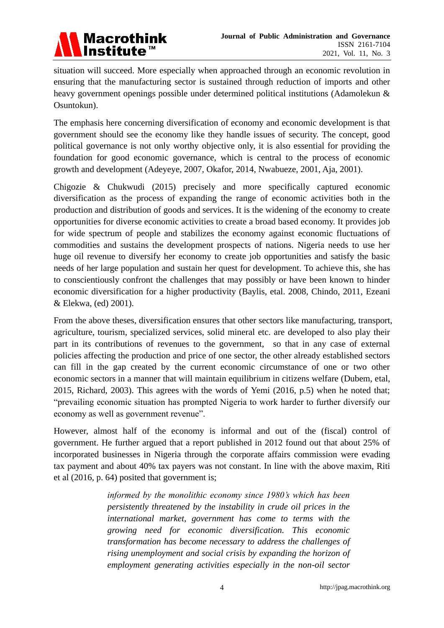

situation will succeed. More especially when approached through an economic revolution in ensuring that the manufacturing sector is sustained through reduction of imports and other heavy government openings possible under determined political institutions (Adamolekun & Osuntokun).

The emphasis here concerning diversification of economy and economic development is that government should see the economy like they handle issues of security. The concept, good political governance is not only worthy objective only, it is also essential for providing the foundation for good economic governance, which is central to the process of economic growth and development (Adeyeye, 2007, Okafor, 2014, Nwabueze, 2001, Aja, 2001).

Chigozie & Chukwudi (2015) precisely and more specifically captured economic diversification as the process of expanding the range of economic activities both in the production and distribution of goods and services. It is the widening of the economy to create opportunities for diverse economic activities to create a broad based economy. It provides job for wide spectrum of people and stabilizes the economy against economic fluctuations of commodities and sustains the development prospects of nations. Nigeria needs to use her huge oil revenue to diversify her economy to create job opportunities and satisfy the basic needs of her large population and sustain her quest for development. To achieve this, she has to conscientiously confront the challenges that may possibly or have been known to hinder economic diversification for a higher productivity (Baylis, etal. 2008, Chindo, 2011, Ezeani & Elekwa, (ed) 2001).

From the above theses, diversification ensures that other sectors like manufacturing, transport, agriculture, tourism, specialized services, solid mineral etc. are developed to also play their part in its contributions of revenues to the government, so that in any case of external policies affecting the production and price of one sector, the other already established sectors can fill in the gap created by the current economic circumstance of one or two other economic sectors in a manner that will maintain equilibrium in citizens welfare (Dubem, etal, 2015, Richard, 2003). This agrees with the words of Yemi (2016, p.5) when he noted that; "prevailing economic situation has prompted Nigeria to work harder to further diversify our economy as well as government revenue".

However, almost half of the economy is informal and out of the (fiscal) control of government. He further argued that a report published in 2012 found out that about 25% of incorporated businesses in Nigeria through the corporate affairs commission were evading tax payment and about 40% tax payers was not constant. In line with the above maxim, Riti et al (2016, p. 64) posited that government is;

> *informed by the monolithic economy since 1980's which has been persistently threatened by the instability in crude oil prices in the international market, government has come to terms with the growing need for economic diversification. This economic transformation has become necessary to address the challenges of rising unemployment and social crisis by expanding the horizon of employment generating activities especially in the non-oil sector*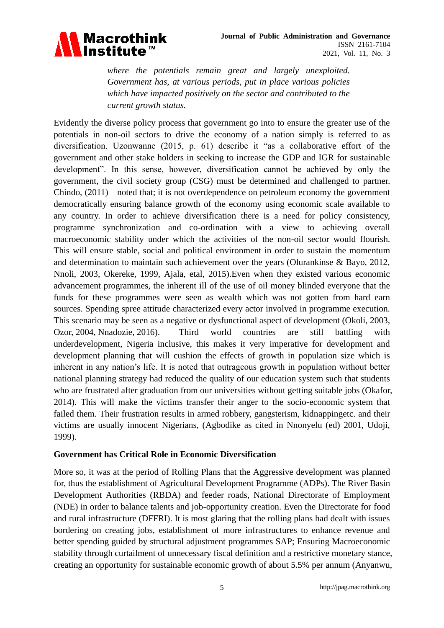

*where the potentials remain great and largely unexploited. Government has, at various periods, put in place various policies which have impacted positively on the sector and contributed to the current growth status.*

Evidently the diverse policy process that government go into to ensure the greater use of the potentials in non-oil sectors to drive the economy of a nation simply is referred to as diversification. Uzonwanne (2015, p. 61) describe it "as a collaborative effort of the government and other stake holders in seeking to increase the GDP and IGR for sustainable development". In this sense, however, diversification cannot be achieved by only the government, the civil society group (CSG) must be determined and challenged to partner. Chindo, (2011) noted that; it is not overdependence on petroleum economy the government democratically ensuring balance growth of the economy using economic scale available to any country. In order to achieve diversification there is a need for policy consistency, programme synchronization and co-ordination with a view to achieving overall macroeconomic stability under which the activities of the non-oil sector would flourish. This will ensure stable, social and political environment in order to sustain the momentum and determination to maintain such achievement over the years (Olurankinse & Bayo, 2012, Nnoli, 2003, Okereke, 1999, Ajala, etal, 2015).Even when they existed various economic advancement programmes, the inherent ill of the use of oil money blinded everyone that the funds for these programmes were seen as wealth which was not gotten from hard earn sources. Spending spree attitude characterized every actor involved in programme execution. This scenario may be seen as a negative or dysfunctional aspect of development (Okoli, 2003, Ozor, 2004, Nnadozie, 2016). Third world countries are still battling with underdevelopment, Nigeria inclusive, this makes it very imperative for development and development planning that will cushion the effects of growth in population size which is inherent in any nation's life. It is noted that outrageous growth in population without better national planning strategy had reduced the quality of our education system such that students who are frustrated after graduation from our universities without getting suitable jobs (Okafor, 2014). This will make the victims transfer their anger to the socio-economic system that failed them. Their frustration results in armed robbery, gangsterism, kidnappingetc. and their victims are usually innocent Nigerians, (Agbodike as cited in Nnonyelu (ed) 2001, Udoji, 1999).

#### **Government has Critical Role in Economic Diversification**

More so, it was at the period of Rolling Plans that the Aggressive development was planned for, thus the establishment of Agricultural Development Programme (ADPs). The River Basin Development Authorities (RBDA) and feeder roads, National Directorate of Employment (NDE) in order to balance talents and job-opportunity creation. Even the Directorate for food and rural infrastructure (DFFRI). It is most glaring that the rolling plans had dealt with issues bordering on creating jobs, establishment of more infrastructures to enhance revenue and better spending guided by structural adjustment programmes SAP; Ensuring Macroeconomic stability through curtailment of unnecessary fiscal definition and a restrictive monetary stance, creating an opportunity for sustainable economic growth of about 5.5% per annum (Anyanwu,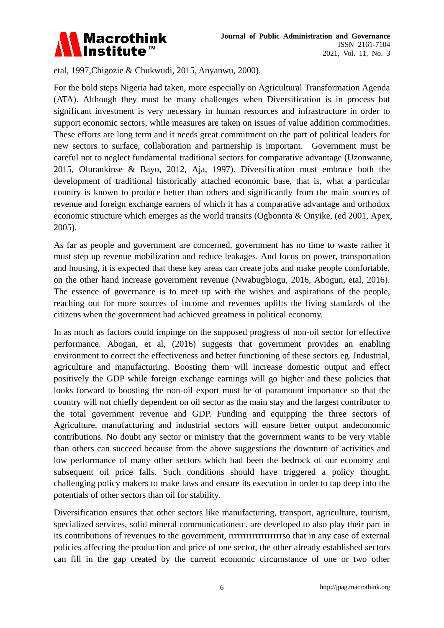

etal, 1997,Chigozie & Chukwudi, 2015, Anyanwu, 2000).

For the bold steps Nigeria had taken, more especially on Agricultural Transformation Agenda (ATA). Although they must be many challenges when Diversification is in process but significant investment is very necessary in human resources and infrastructure in order to support economic sectors, while measures are taken on issues of value addition commodities. These efforts are long term and it needs great commitment on the part of political leaders for new sectors to surface, collaboration and partnership is important. Government must be careful not to neglect fundamental traditional sectors for comparative advantage (Uzonwanne, 2015, Olurankinse & Bayo, 2012, Aja, 1997). Diversification must embrace both the development of traditional historically attached economic base, that is, what a particular country is known to produce better than others and significantly from the main sources of revenue and foreign exchange earners of which it has a comparative advantage and orthodox economic structure which emerges as the world transits (Ogbonnta & Onyike, (ed 2001, Apex, 2005).

As far as people and government are concerned, government has no time to waste rather it must step up revenue mobilization and reduce leakages. And focus on power, transportation and housing, it is expected that these key areas can create jobs and make people comfortable, on the other hand increase government revenue (Nwabugbiogu, 2016, Abogun, etal, 2016). The essence of governance is to meet up with the wishes and aspirations of the people, reaching out for more sources of income and revenues uplifts the living standards of the citizens when the government had achieved greatness in political economy.

In as much as factors could impinge on the supposed progress of non-oil sector for effective performance. Abogan, et al, (2016) suggests that government provides an enabling environment to correct the effectiveness and better functioning of these sectors eg. Industrial, agriculture and manufacturing. Boosting them will increase domestic output and effect positively the GDP while foreign exchange earnings will go higher and these policies that looks forward to boosting the non-oil export must be of paramount importance so that the country will not chiefly dependent on oil sector as the main stay and the largest contributor to the total government revenue and GDP. Funding and equipping the three sectors of Agriculture, manufacturing and industrial sectors will ensure better output andeconomic contributions. No doubt any sector or ministry that the government wants to be very viable than others can succeed because from the above suggestions the downturn of activities and low performance of many other sectors which had been the bedrock of our economy and subsequent oil price falls. Such conditions should have triggered a policy thought, challenging policy makers to make laws and ensure its execution in order to tap deep into the potentials of other sectors than oil for stability.

Diversification ensures that other sectors like manufacturing, transport, agriculture, tourism, specialized services, solid mineral communicationetc. are developed to also play their part in its contributions of revenues to the government, rrrrrrrrrrrrrrrrrrso that in any case of external policies affecting the production and price of one sector, the other already established sectors can fill in the gap created by the current economic circumstance of one or two other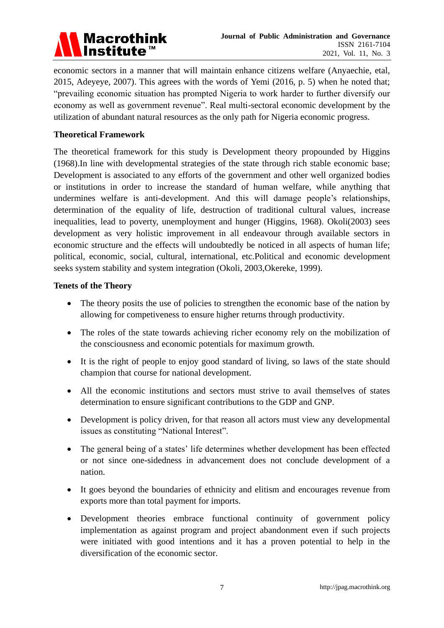

economic sectors in a manner that will maintain enhance citizens welfare (Anyaechie, etal, 2015, Adeyeye, 2007). This agrees with the words of Yemi (2016, p. 5) when he noted that; "prevailing economic situation has prompted Nigeria to work harder to further diversify our economy as well as government revenue". Real multi-sectoral economic development by the utilization of abundant natural resources as the only path for Nigeria economic progress.

## **Theoretical Framework**

The theoretical framework for this study is Development theory propounded by Higgins (1968).In line with developmental strategies of the state through rich stable economic base; Development is associated to any efforts of the government and other well organized bodies or institutions in order to increase the standard of human welfare, while anything that undermines welfare is anti-development. And this will damage people's relationships, determination of the equality of life, destruction of traditional cultural values, increase inequalities, lead to poverty, unemployment and hunger (Higgins, 1968). Okoli(2003) sees development as very holistic improvement in all endeavour through available sectors in economic structure and the effects will undoubtedly be noticed in all aspects of human life; political, economic, social, cultural, international, etc.Political and economic development seeks system stability and system integration (Okoli, 2003,Okereke, 1999).

## **Tenets of the Theory**

- The theory posits the use of policies to strengthen the economic base of the nation by allowing for competiveness to ensure higher returns through productivity.
- The roles of the state towards achieving richer economy rely on the mobilization of the consciousness and economic potentials for maximum growth.
- It is the right of people to enjoy good standard of living, so laws of the state should champion that course for national development.
- All the economic institutions and sectors must strive to avail themselves of states determination to ensure significant contributions to the GDP and GNP.
- Development is policy driven, for that reason all actors must view any developmental issues as constituting "National Interest".
- The general being of a states' life determines whether development has been effected or not since one-sidedness in advancement does not conclude development of a nation.
- It goes beyond the boundaries of ethnicity and elitism and encourages revenue from exports more than total payment for imports.
- Development theories embrace functional continuity of government policy implementation as against program and project abandonment even if such projects were initiated with good intentions and it has a proven potential to help in the diversification of the economic sector.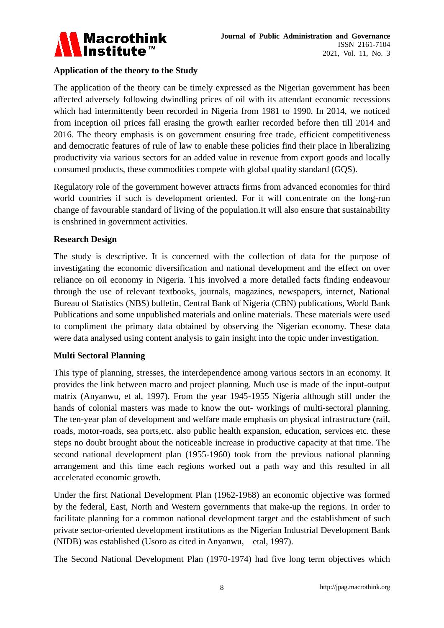

# **Application of the theory to the Study**

The application of the theory can be timely expressed as the Nigerian government has been affected adversely following dwindling prices of oil with its attendant economic recessions which had intermittently been recorded in Nigeria from 1981 to 1990. In 2014, we noticed from inception oil prices fall erasing the growth earlier recorded before then till 2014 and 2016. The theory emphasis is on government ensuring free trade, efficient competitiveness and democratic features of rule of law to enable these policies find their place in liberalizing productivity via various sectors for an added value in revenue from export goods and locally consumed products, these commodities compete with global quality standard (GQS).

Regulatory role of the government however attracts firms from advanced economies for third world countries if such is development oriented. For it will concentrate on the long-run change of favourable standard of living of the population.It will also ensure that sustainability is enshrined in government activities.

#### **Research Design**

The study is descriptive. It is concerned with the collection of data for the purpose of investigating the economic diversification and national development and the effect on over reliance on oil economy in Nigeria. This involved a more detailed facts finding endeavour through the use of relevant textbooks, journals, magazines, newspapers, internet, National Bureau of Statistics (NBS) bulletin, Central Bank of Nigeria (CBN) publications, World Bank Publications and some unpublished materials and online materials. These materials were used to compliment the primary data obtained by observing the Nigerian economy. These data were data analysed using content analysis to gain insight into the topic under investigation.

#### **Multi Sectoral Planning**

This type of planning, stresses, the interdependence among various sectors in an economy. It provides the link between macro and project planning. Much use is made of the input-output matrix (Anyanwu, et al, 1997). From the year 1945-1955 Nigeria although still under the hands of colonial masters was made to know the out- workings of multi-sectoral planning. The ten-year plan of development and welfare made emphasis on physical infrastructure (rail, roads, motor-roads, sea ports,etc. also public health expansion, education, services etc. these steps no doubt brought about the noticeable increase in productive capacity at that time. The second national development plan (1955-1960) took from the previous national planning arrangement and this time each regions worked out a path way and this resulted in all accelerated economic growth.

Under the first National Development Plan (1962-1968) an economic objective was formed by the federal, East, North and Western governments that make-up the regions. In order to facilitate planning for a common national development target and the establishment of such private sector-oriented development institutions as the Nigerian Industrial Development Bank (NIDB) was established (Usoro as cited in Anyanwu, etal, 1997).

The Second National Development Plan (1970-1974) had five long term objectives which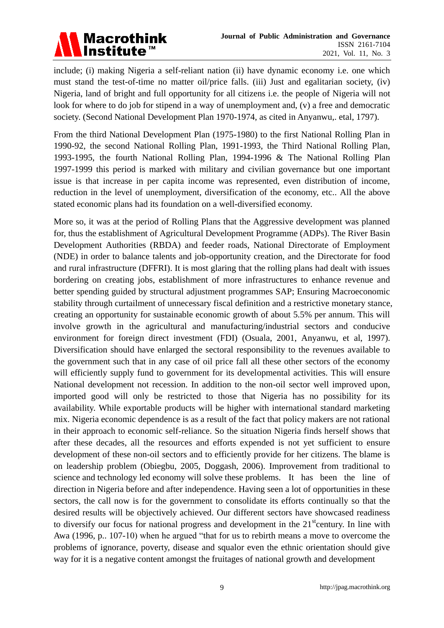

include; (i) making Nigeria a self-reliant nation (ii) have dynamic economy i.e. one which must stand the test-of-time no matter oil/price falls. (iii) Just and egalitarian society, (iv) Nigeria, land of bright and full opportunity for all citizens i.e. the people of Nigeria will not look for where to do job for stipend in a way of unemployment and, (v) a free and democratic society. (Second National Development Plan 1970-1974, as cited in Anyanwu,. etal, 1797).

From the third National Development Plan (1975-1980) to the first National Rolling Plan in 1990-92, the second National Rolling Plan, 1991-1993, the Third National Rolling Plan, 1993-1995, the fourth National Rolling Plan, 1994-1996 & The National Rolling Plan 1997-1999 this period is marked with military and civilian governance but one important issue is that increase in per capita income was represented, even distribution of income, reduction in the level of unemployment, diversification of the economy, etc.. All the above stated economic plans had its foundation on a well-diversified economy.

More so, it was at the period of Rolling Plans that the Aggressive development was planned for, thus the establishment of Agricultural Development Programme (ADPs). The River Basin Development Authorities (RBDA) and feeder roads, National Directorate of Employment (NDE) in order to balance talents and job-opportunity creation, and the Directorate for food and rural infrastructure (DFFRI). It is most glaring that the rolling plans had dealt with issues bordering on creating jobs, establishment of more infrastructures to enhance revenue and better spending guided by structural adjustment programmes SAP; Ensuring Macroeconomic stability through curtailment of unnecessary fiscal definition and a restrictive monetary stance, creating an opportunity for sustainable economic growth of about 5.5% per annum. This will involve growth in the agricultural and manufacturing/industrial sectors and conducive environment for foreign direct investment (FDI) (Osuala, 2001, Anyanwu, et al, 1997). Diversification should have enlarged the sectoral responsibility to the revenues available to the government such that in any case of oil price fall all these other sectors of the economy will efficiently supply fund to government for its developmental activities. This will ensure National development not recession. In addition to the non-oil sector well improved upon, imported good will only be restricted to those that Nigeria has no possibility for its availability. While exportable products will be higher with international standard marketing mix. Nigeria economic dependence is as a result of the fact that policy makers are not rational in their approach to economic self-reliance. So the situation Nigeria finds herself shows that after these decades, all the resources and efforts expended is not yet sufficient to ensure development of these non-oil sectors and to efficiently provide for her citizens. The blame is on leadership problem (Obiegbu, 2005, Doggash, 2006). Improvement from traditional to science and technology led economy will solve these problems. It has been the line of direction in Nigeria before and after independence. Having seen a lot of opportunities in these sectors, the call now is for the government to consolidate its efforts continually so that the desired results will be objectively achieved. Our different sectors have showcased readiness to diversify our focus for national progress and development in the  $21<sup>st</sup>$ century. In line with Awa (1996, p.. 107-10) when he argued "that for us to rebirth means a move to overcome the problems of ignorance, poverty, disease and squalor even the ethnic orientation should give way for it is a negative content amongst the fruitages of national growth and development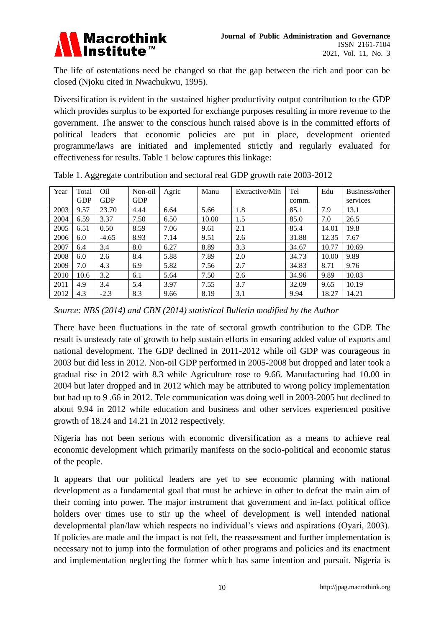

The life of ostentations need be changed so that the gap between the rich and poor can be closed (Njoku cited in Nwachukwu, 1995).

Diversification is evident in the sustained higher productivity output contribution to the GDP which provides surplus to be exported for exchange purposes resulting in more revenue to the government. The answer to the conscious hunch raised above is in the committed efforts of political leaders that economic policies are put in place, development oriented programme/laws are initiated and implemented strictly and regularly evaluated for effectiveness for results. Table 1 below captures this linkage:

| Year | Total      | Oil        | Non-oil    | Agric | Manu  | Extractive/Min | Tel   | Edu   | Business/other |
|------|------------|------------|------------|-------|-------|----------------|-------|-------|----------------|
|      | <b>GDP</b> | <b>GDP</b> | <b>GDP</b> |       |       |                | comm. |       | services       |
| 2003 | 9.57       | 23.70      | 4.44       | 6.64  | 5.66  | 1.8            | 85.1  | 7.9   | 13.1           |
| 2004 | 6.59       | 3.37       | 7.50       | 6.50  | 10.00 | 1.5            | 85.0  | 7.0   | 26.5           |
| 2005 | 6.51       | 0.50       | 8.59       | 7.06  | 9.61  | 2.1            | 85.4  | 14.01 | 19.8           |
| 2006 | 6.0        | $-4.65$    | 8.93       | 7.14  | 9.51  | 2.6            | 31.88 | 12.35 | 7.67           |
| 2007 | 6.4        | 3.4        | 8.0        | 6.27  | 8.89  | 3.3            | 34.67 | 10.77 | 10.69          |
| 2008 | 6.0        | 2.6        | 8.4        | 5.88  | 7.89  | 2.0            | 34.73 | 10.00 | 9.89           |
| 2009 | 7.0        | 4.3        | 6.9        | 5.82  | 7.56  | 2.7            | 34.83 | 8.71  | 9.76           |
| 2010 | 10.6       | 3.2        | 6.1        | 5.64  | 7.50  | 2.6            | 34.96 | 9.89  | 10.03          |
| 2011 | 4.9        | 3.4        | 5.4        | 3.97  | 7.55  | 3.7            | 32.09 | 9.65  | 10.19          |
| 2012 | 4.3        | $-2.3$     | 8.3        | 9.66  | 8.19  | 3.1            | 9.94  | 18.27 | 14.21          |

Table 1. Aggregate contribution and sectoral real GDP growth rate 2003-2012

There have been fluctuations in the rate of sectoral growth contribution to the GDP. The result is unsteady rate of growth to help sustain efforts in ensuring added value of exports and national development. The GDP declined in 2011-2012 while oil GDP was courageous in 2003 but did less in 2012. Non-oil GDP performed in 2005-2008 but dropped and later took a gradual rise in 2012 with 8.3 while Agriculture rose to 9.66. Manufacturing had 10.00 in 2004 but later dropped and in 2012 which may be attributed to wrong policy implementation but had up to 9 .66 in 2012. Tele communication was doing well in 2003-2005 but declined to about 9.94 in 2012 while education and business and other services experienced positive growth of 18.24 and 14.21 in 2012 respectively.

Nigeria has not been serious with economic diversification as a means to achieve real economic development which primarily manifests on the socio-political and economic status of the people.

It appears that our political leaders are yet to see economic planning with national development as a fundamental goal that must be achieve in other to defeat the main aim of their coming into power. The major instrument that government and in-fact political office holders over times use to stir up the wheel of development is well intended national developmental plan/law which respects no individual's views and aspirations (Oyari, 2003). If policies are made and the impact is not felt, the reassessment and further implementation is necessary not to jump into the formulation of other programs and policies and its enactment and implementation neglecting the former which has same intention and pursuit. Nigeria is

*Source: NBS (2014) and CBN (2014) statistical Bulletin modified by the Author*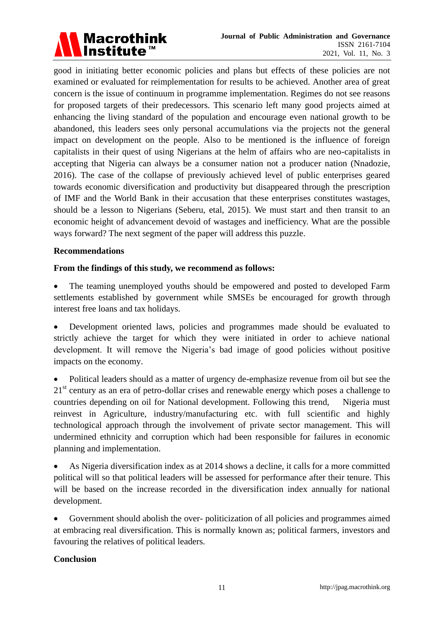

good in initiating better economic policies and plans but effects of these policies are not examined or evaluated for reimplementation for results to be achieved. Another area of great concern is the issue of continuum in programme implementation. Regimes do not see reasons for proposed targets of their predecessors. This scenario left many good projects aimed at enhancing the living standard of the population and encourage even national growth to be abandoned, this leaders sees only personal accumulations via the projects not the general impact on development on the people. Also to be mentioned is the influence of foreign capitalists in their quest of using Nigerians at the helm of affairs who are neo-capitalists in accepting that Nigeria can always be a consumer nation not a producer nation (Nnadozie, 2016). The case of the collapse of previously achieved level of public enterprises geared towards economic diversification and productivity but disappeared through the prescription of IMF and the World Bank in their accusation that these enterprises constitutes wastages, should be a lesson to Nigerians (Seberu, etal, 2015). We must start and then transit to an economic height of advancement devoid of wastages and inefficiency. What are the possible ways forward? The next segment of the paper will address this puzzle.

## **Recommendations**

# **From the findings of this study, we recommend as follows:**

• The teaming unemployed youths should be empowered and posted to developed Farm settlements established by government while SMSEs be encouraged for growth through interest free loans and tax holidays.

 Development oriented laws, policies and programmes made should be evaluated to strictly achieve the target for which they were initiated in order to achieve national development. It will remove the Nigeria's bad image of good policies without positive impacts on the economy.

 Political leaders should as a matter of urgency de-emphasize revenue from oil but see the  $21<sup>st</sup>$  century as an era of petro-dollar crises and renewable energy which poses a challenge to countries depending on oil for National development. Following this trend, Nigeria must reinvest in Agriculture, industry/manufacturing etc. with full scientific and highly technological approach through the involvement of private sector management. This will undermined ethnicity and corruption which had been responsible for failures in economic planning and implementation.

 As Nigeria diversification index as at 2014 shows a decline, it calls for a more committed political will so that political leaders will be assessed for performance after their tenure. This will be based on the increase recorded in the diversification index annually for national development.

 Government should abolish the over- politicization of all policies and programmes aimed at embracing real diversification. This is normally known as; political farmers, investors and favouring the relatives of political leaders.

#### **Conclusion**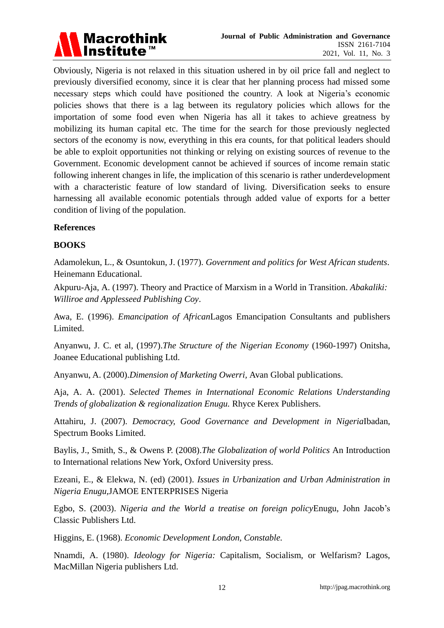

Obviously, Nigeria is not relaxed in this situation ushered in by oil price fall and neglect to previously diversified economy, since it is clear that her planning process had missed some necessary steps which could have positioned the country. A look at Nigeria's economic policies shows that there is a lag between its regulatory policies which allows for the importation of some food even when Nigeria has all it takes to achieve greatness by mobilizing its human capital etc. The time for the search for those previously neglected sectors of the economy is now, everything in this era counts, for that political leaders should be able to exploit opportunities not thinking or relying on existing sources of revenue to the Government. Economic development cannot be achieved if sources of income remain static following inherent changes in life, the implication of this scenario is rather underdevelopment with a characteristic feature of low standard of living. Diversification seeks to ensure harnessing all available economic potentials through added value of exports for a better condition of living of the population.

# **References**

## **BOOKS**

Adamolekun, L., & Osuntokun, J. (1977). *Government and politics for West African students*. Heinemann Educational.

Akpuru-Aja, A. (1997). Theory and Practice of Marxism in a World in Transition. *Abakaliki: Williroe and Applesseed Publishing Coy*.

Awa, E. (1996). *Emancipation of African*Lagos Emancipation Consultants and publishers Limited.

Anyanwu, J. C. et al, (1997).*The Structure of the Nigerian Economy* (1960-1997) Onitsha, Joanee Educational publishing Ltd.

Anyanwu, A. (2000).*Dimension of Marketing Owerri,* Avan Global publications.

Aja, A. A. (2001). *Selected Themes in International Economic Relations Understanding Trends of globalization & regionalization Enugu.* Rhyce Kerex Publishers.

Attahiru, J. (2007). *Democracy, Good Governance and Development in Nigeria*Ibadan, Spectrum Books Limited.

Baylis, J., Smith, S., & Owens P. (2008).*The Globalization of world Politics* An Introduction to International relations New York, Oxford University press.

Ezeani, E., & Elekwa, N. (ed) (2001). *Issues in Urbanization and Urban Administration in Nigeria Enugu,*JAMOE ENTERPRISES Nigeria

Egbo, S. (2003). *Nigeria and the World a treatise on foreign policy*Enugu, John Jacob's Classic Publishers Ltd.

Higgins, E. (1968). *Economic Development London, Constable.*

Nnamdi, A. (1980). *Ideology for Nigeria:* Capitalism, Socialism, or Welfarism? Lagos, MacMillan Nigeria publishers Ltd.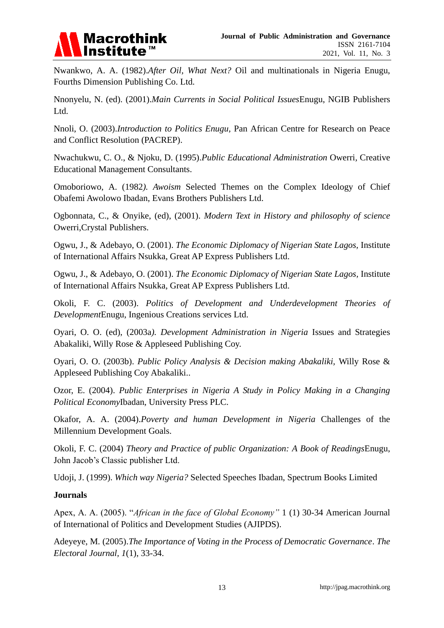

Nwankwo, A. A. (1982).*After Oil, What Next?* Oil and multinationals in Nigeria Enugu, Fourths Dimension Publishing Co. Ltd.

Nnonyelu, N. (ed). (2001).*Main Currents in Social Political Issues*Enugu, NGIB Publishers Ltd.

Nnoli, O. (2003).*Introduction to Politics Enugu,* Pan African Centre for Research on Peace and Conflict Resolution (PACREP).

Nwachukwu, C. O., & Njoku, D. (1995).*Public Educational Administration* Owerri*,* Creative Educational Management Consultants.

Omoboriowo, A. (1982*). Awoism* Selected Themes on the Complex Ideology of Chief Obafemi Awolowo Ibadan, Evans Brothers Publishers Ltd.

Ogbonnata, C., & Onyike, (ed), (2001). *Modern Text in History and philosophy of science*  Owerri,Crystal Publishers.

Ogwu, J., & Adebayo, O. (2001). *The Economic Diplomacy of Nigerian State Lagos,* Institute of International Affairs Nsukka, Great AP Express Publishers Ltd.

Ogwu, J., & Adebayo, O. (2001). *The Economic Diplomacy of Nigerian State Lagos,* Institute of International Affairs Nsukka, Great AP Express Publishers Ltd.

Okoli, F. C. (2003). *Politics of Development and Underdevelopment Theories of Development*Enugu, Ingenious Creations services Ltd.

Oyari, O. O. (ed), (2003a*). Development Administration in Nigeria* Issues and Strategies Abakaliki, Willy Rose & Appleseed Publishing Coy.

Oyari, O. O. (2003b). *Public Policy Analysis & Decision making Abakaliki,* Willy Rose & Appleseed Publishing Coy Abakaliki..

Ozor, E. (2004). *Public Enterprises in Nigeria A Study in Policy Making in a Changing Political Economy*Ibadan, University Press PLC.

Okafor, A. A. (2004).*Poverty and human Development in Nigeria* Challenges of the Millennium Development Goals.

Okoli, F. C. (2004) *Theory and Practice of public Organization: A Book of Readings*Enugu, John Jacob's Classic publisher Ltd.

Udoji, J. (1999). *Which way Nigeria?* Selected Speeches Ibadan, Spectrum Books Limited

# **Journals**

Apex, A. A. (2005). "*African in the face of Global Economy"* 1 (1) 30-34 American Journal of International of Politics and Development Studies (AJIPDS).

Adeyeye, M. (2005).*The Importance of Voting in the Process of Democratic Governance*. *The Electoral Journal, 1*(1), 33-34.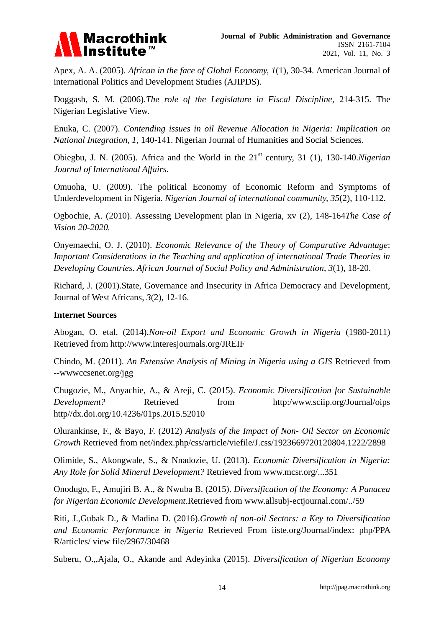

Apex, A. A. (2005). *African in the face of Global Economy, 1*(1), 30-34. American Journal of international Politics and Development Studies (AJIPDS).

Doggash, S. M. (2006).*The role of the Legislature in Fiscal Discipline*, 214-315. The Nigerian Legislative View.

Enuka, C. (2007). *Contending issues in oil Revenue Allocation in Nigeria: Implication on National Integration, 1*, 140-141. Nigerian Journal of Humanities and Social Sciences.

Obiegbu, J. N. (2005). Africa and the World in the 21<sup>st</sup> century, 31 (1), 130-140.*Nigerian Journal of International Affairs.*

Omuoha, U. (2009). The political Economy of Economic Reform and Symptoms of Underdevelopment in Nigeria. *Nigerian Journal of international community, 35*(2), 110-112.

Ogbochie, A. (2010). Assessing Development plan in Nigeria, xv (2), 148-164*The Case of Vision 20-2020.*

Onyemaechi, O. J. (2010). *Economic Relevance of the Theory of Comparative Advantage*: *Important Considerations in the Teaching and application of international Trade Theories in Developing Countries. African Journal of Social Policy and Administration*, *3*(1), 18-20.

Richard, J. (2001).State, Governance and Insecurity in Africa Democracy and Development, Journal of West Africans, *3*(2), 12-16.

#### **Internet Sources**

Abogan, O. etal. (2014).*Non-oil Export and Economic Growth in Nigeria* (1980-2011) Retrieved from<http://www.interesjournals.org/JREIF>

Chindo, M. (2011). *An Extensive Analysis of Mining in Nigeria using a GIS* Retrieved from --wwwccsenet.org/jgg

Chugozie, M., Anyachie, A., & Areji, C. (2015). *Economic Diversification for Sustainable Development?* Retrieved from http:/www.sciip.org/Journal/oips http//dx.doi.org/10.4236/01ps.2015.52010

Olurankinse, F., & Bayo, F. (2012) *Analysis of the Impact of Non- Oil Sector on Economic Growth* Retrieved from net/index.php/css/article/viefile/J.css/1923669720120804.1222/2898

Olimide, S., Akongwale, S., & Nnadozie, U. (2013). *Economic Diversification in Nigeria: Any Role for Solid Mineral Development?* Retrieved from [www.mcsr.org/...351](http://www.mcsr.org/...351)

Onodugo, F., Amujiri B. A., & Nwuba B. (2015). *Diversification of the Economy: A Panacea for Nigerian Economic Development*.Retrieved from [www.allsubj-ectjournal.com/../59](http://www.allsubj-ectjournal.com/59)

Riti, J.,Gubak D., & Madina D. (2016).*Growth of non-oil Sectors: a Key to Diversification and Economic Performance in Nigeria* Retrieved From iiste.org/Journal/index: php/PPA R/articles/ view file/2967/30468

Suberu, O.,,Ajala, O., Akande and Adeyinka (2015). *Diversification of Nigerian Economy*